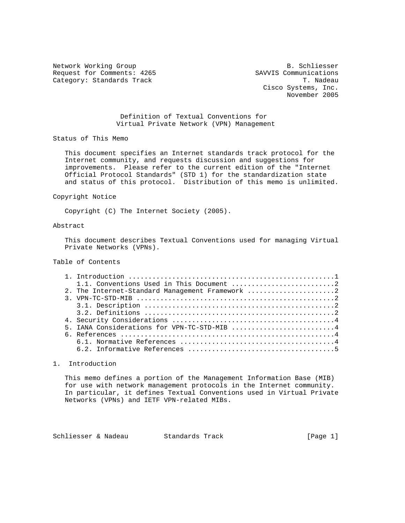Network Working Group<br>Request for Comments: 4265 SAVVIS Communications Request for Comments: 4265 SAVVIS Communications<br>Category: Standards Track Track Track Track Track T. Nadeau Category: Standards Track

 Cisco Systems, Inc. November 2005

 Definition of Textual Conventions for Virtual Private Network (VPN) Management

Status of This Memo

 This document specifies an Internet standards track protocol for the Internet community, and requests discussion and suggestions for improvements. Please refer to the current edition of the "Internet Official Protocol Standards" (STD 1) for the standardization state and status of this protocol. Distribution of this memo is unlimited.

#### Copyright Notice

Copyright (C) The Internet Society (2005).

## Abstract

 This document describes Textual Conventions used for managing Virtual Private Networks (VPNs).

## Table of Contents

| 2. The Internet-Standard Management Framework 2                                                                |
|----------------------------------------------------------------------------------------------------------------|
| 3. VPN-TC-STD-MIB $\dots\dots\dots\dots\dots\dots\dots\dots\dots\dots\dots\dots\dots\dots\dots\dots\dots\dots$ |
|                                                                                                                |
|                                                                                                                |
|                                                                                                                |
| 5. IANA Considerations for VPN-TC-STD-MIB 4                                                                    |
|                                                                                                                |
|                                                                                                                |
|                                                                                                                |

## 1. Introduction

 This memo defines a portion of the Management Information Base (MIB) for use with network management protocols in the Internet community. In particular, it defines Textual Conventions used in Virtual Private Networks (VPNs) and IETF VPN-related MIBs.

Schliesser & Nadeau Standards Track [Page 1]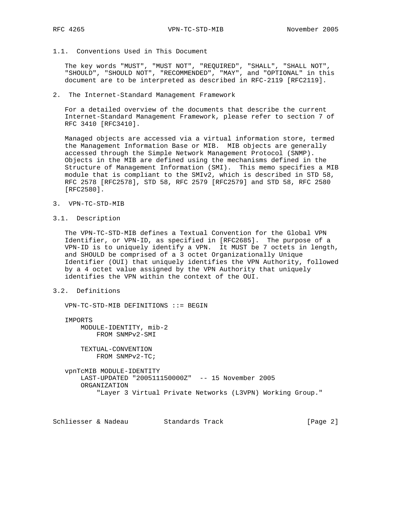## 1.1. Conventions Used in This Document

 The key words "MUST", "MUST NOT", "REQUIRED", "SHALL", "SHALL NOT", "SHOULD", "SHOULD NOT", "RECOMMENDED", "MAY", and "OPTIONAL" in this document are to be interpreted as described in RFC-2119 [RFC2119].

#### 2. The Internet-Standard Management Framework

 For a detailed overview of the documents that describe the current Internet-Standard Management Framework, please refer to section 7 of RFC 3410 [RFC3410].

 Managed objects are accessed via a virtual information store, termed the Management Information Base or MIB. MIB objects are generally accessed through the Simple Network Management Protocol (SNMP). Objects in the MIB are defined using the mechanisms defined in the Structure of Management Information (SMI). This memo specifies a MIB module that is compliant to the SMIv2, which is described in STD 58, RFC 2578 [RFC2578], STD 58, RFC 2579 [RFC2579] and STD 58, RFC 2580 [RFC2580].

- 3. VPN-TC-STD-MIB
- 3.1. Description

 The VPN-TC-STD-MIB defines a Textual Convention for the Global VPN Identifier, or VPN-ID, as specified in [RFC2685]. The purpose of a VPN-ID is to uniquely identify a VPN. It MUST be 7 octets in length, and SHOULD be comprised of a 3 octet Organizationally Unique Identifier (OUI) that uniquely identifies the VPN Authority, followed by a 4 octet value assigned by the VPN Authority that uniquely identifies the VPN within the context of the OUI.

## 3.2. Definitions

VPN-TC-STD-MIB DEFINITIONS ::= BEGIN

 IMPORTS MODULE-IDENTITY, mib-2 FROM SNMPv2-SMI

> TEXTUAL-CONVENTION FROM SNMPv2-TC;

 vpnTcMIB MODULE-IDENTITY LAST-UPDATED "200511150000Z" -- 15 November 2005 ORGANIZATION "Layer 3 Virtual Private Networks (L3VPN) Working Group."

Schliesser & Nadeau Standards Track [Page 2]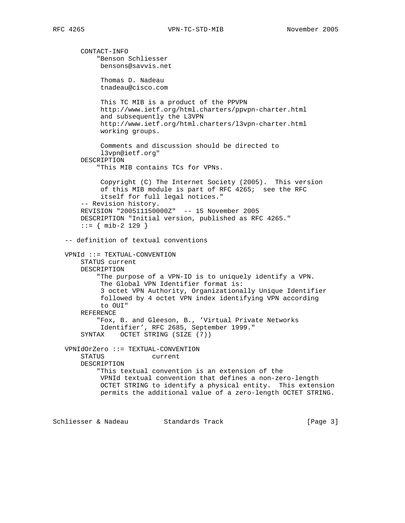CONTACT-INFO "Benson Schliesser bensons@savvis.net Thomas D. Nadeau tnadeau@cisco.com This TC MIB is a product of the PPVPN http://www.ietf.org/html.charters/ppvpn-charter.html and subsequently the L3VPN http://www.ietf.org/html.charters/l3vpn-charter.html working groups. Comments and discussion should be directed to l3vpn@ietf.org" DESCRIPTION "This MIB contains TCs for VPNs. Copyright (C) The Internet Society (2005). This version of this MIB module is part of RFC 4265; see the RFC itself for full legal notices." -- Revision history. REVISION "200511150000Z" -- 15 November 2005 DESCRIPTION "Initial version, published as RFC 4265." ::= { mib-2 129 } -- definition of textual conventions VPNId ::= TEXTUAL-CONVENTION STATUS current DESCRIPTION "The purpose of a VPN-ID is to uniquely identify a VPN. The Global VPN Identifier format is: 3 octet VPN Authority, Organizationally Unique Identifier followed by 4 octet VPN index identifying VPN according to OUI" REFERENCE "Fox, B. and Gleeson, B., 'Virtual Private Networks Identifier', RFC 2685, September 1999." SYNTAX OCTET STRING (SIZE (7)) VPNIdOrZero ::= TEXTUAL-CONVENTION STATUS current DESCRIPTION "This textual convention is an extension of the VPNId textual convention that defines a non-zero-length OCTET STRING to identify a physical entity. This extension permits the additional value of a zero-length OCTET STRING.

Schliesser & Nadeau Standards Track [Page 3]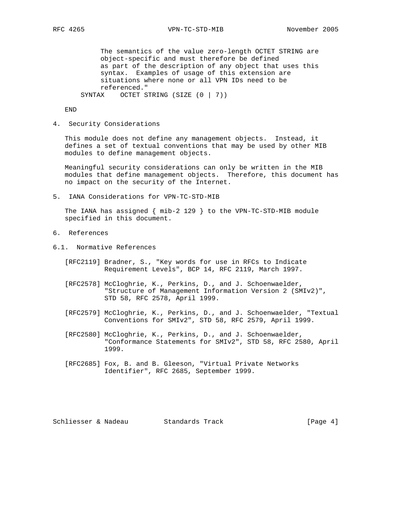The semantics of the value zero-length OCTET STRING are object-specific and must therefore be defined as part of the description of any object that uses this syntax. Examples of usage of this extension are situations where none or all VPN IDs need to be referenced." SYNTAX OCTET STRING (SIZE (0 | 7))

END

4. Security Considerations

 This module does not define any management objects. Instead, it defines a set of textual conventions that may be used by other MIB modules to define management objects.

 Meaningful security considerations can only be written in the MIB modules that define management objects. Therefore, this document has no impact on the security of the Internet.

5. IANA Considerations for VPN-TC-STD-MIB

 The IANA has assigned { mib-2 129 } to the VPN-TC-STD-MIB module specified in this document.

- 6. References
- 6.1. Normative References
	- [RFC2119] Bradner, S., "Key words for use in RFCs to Indicate Requirement Levels", BCP 14, RFC 2119, March 1997.
	- [RFC2578] McCloghrie, K., Perkins, D., and J. Schoenwaelder, "Structure of Management Information Version 2 (SMIv2)", STD 58, RFC 2578, April 1999.
	- [RFC2579] McCloghrie, K., Perkins, D., and J. Schoenwaelder, "Textual Conventions for SMIv2", STD 58, RFC 2579, April 1999.
	- [RFC2580] McCloghrie, K., Perkins, D., and J. Schoenwaelder, "Conformance Statements for SMIv2", STD 58, RFC 2580, April 1999.
	- [RFC2685] Fox, B. and B. Gleeson, "Virtual Private Networks Identifier", RFC 2685, September 1999.

Schliesser & Nadeau Standards Track [Page 4]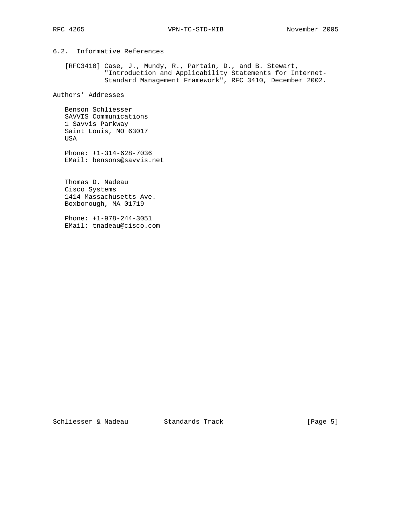# 6.2. Informative References

 [RFC3410] Case, J., Mundy, R., Partain, D., and B. Stewart, "Introduction and Applicability Statements for Internet- Standard Management Framework", RFC 3410, December 2002.

Authors' Addresses

 Benson Schliesser SAVVIS Communications 1 Savvis Parkway Saint Louis, MO 63017 USA

 Phone: +1-314-628-7036 EMail: bensons@savvis.net

 Thomas D. Nadeau Cisco Systems 1414 Massachusetts Ave. Boxborough, MA 01719

 Phone: +1-978-244-3051 EMail: tnadeau@cisco.com